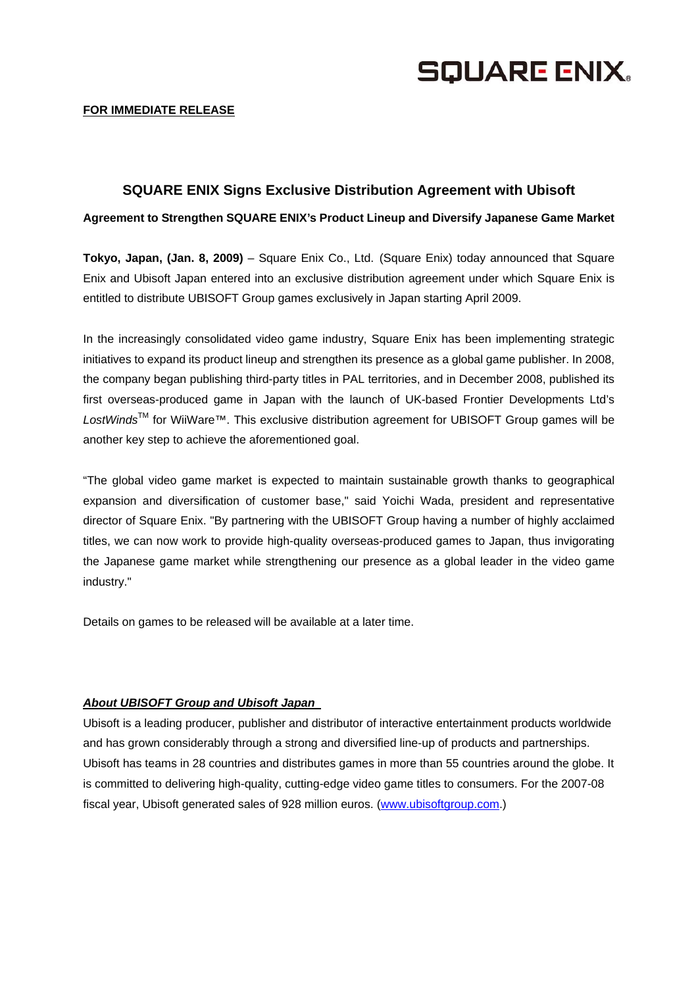

## **SQUARE ENIX Signs Exclusive Distribution Agreement with Ubisoft**

**Agreement to Strengthen SQUARE ENIX's Product Lineup and Diversify Japanese Game Market** 

**Tokyo, Japan, (Jan. 8, 2009)** – Square Enix Co., Ltd. (Square Enix) today announced that Square Enix and Ubisoft Japan entered into an exclusive distribution agreement under which Square Enix is entitled to distribute UBISOFT Group games exclusively in Japan starting April 2009.

In the increasingly consolidated video game industry, Square Enix has been implementing strategic initiatives to expand its product lineup and strengthen its presence as a global game publisher. In 2008, the company began publishing third-party titles in PAL territories, and in December 2008, published its first overseas-produced game in Japan with the launch of UK-based Frontier Developments Ltd's *LostWinds*TM for WiiWare™. This exclusive distribution agreement for UBISOFT Group games will be another key step to achieve the aforementioned goal.

"The global video game market is expected to maintain sustainable growth thanks to geographical expansion and diversification of customer base," said Yoichi Wada, president and representative director of Square Enix. "By partnering with the UBISOFT Group having a number of highly acclaimed titles, we can now work to provide high-quality overseas-produced games to Japan, thus invigorating the Japanese game market while strengthening our presence as a global leader in the video game industry."

Details on games to be released will be available at a later time.

## *About UBISOFT Group and Ubisoft Japan*

Ubisoft is a leading producer, publisher and distributor of interactive entertainment products worldwide and has grown considerably through a strong and diversified line-up of products and partnerships. Ubisoft has teams in 28 countries and distributes games in more than 55 countries around the globe. It is committed to delivering high-quality, cutting-edge video game titles to consumers. For the 2007-08 fiscal year, Ubisoft generated sales of 928 million euros. (www.ubisoftgroup.com.)